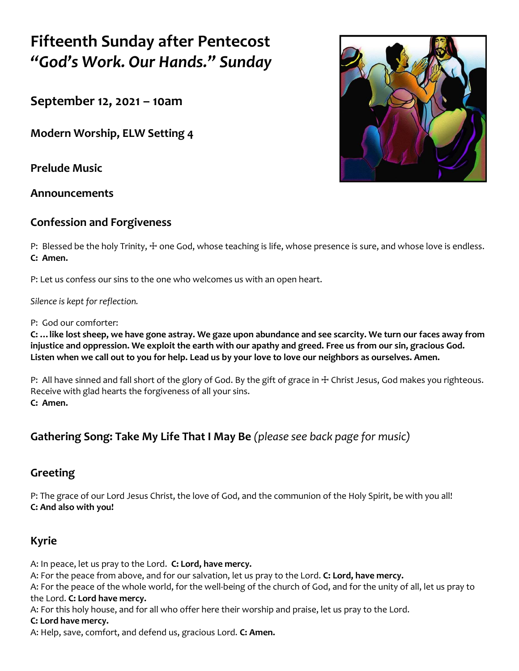## **Fifteenth Sunday after Pentecost** *"God's Work. Our Hands." Sunday*

**September 12, 2021 – 10am**

**Modern Worship, ELW Setting 4**

**Prelude Music**

**Announcements**

## **Confession and Forgiveness**

P: Blessed be the holy Trinity,  $\pm$  one God, whose teaching is life, whose presence is sure, and whose love is endless. **C: Amen.**

P: Let us confess our sins to the one who welcomes us with an open heart.

*Silence is kept for reflection.*

P: God our comforter:

**C: …like lost sheep, we have gone astray. We gaze upon abundance and see scarcity. We turn our faces away from injustice and oppression. We exploit the earth with our apathy and greed. Free us from our sin, gracious God. Listen when we call out to you for help. Lead us by your love to love our neighbors as ourselves. Amen.**

P: All have sinned and fall short of the glory of God. By the gift of grace in  $+$  Christ Jesus, God makes you righteous. Receive with glad hearts the forgiveness of all your sins. **C: Amen.**

## **Gathering Song: Take My Life That I May Be** *(please see back page for music)*

## **Greeting**

P: The grace of our Lord Jesus Christ, the love of God, and the communion of the Holy Spirit, be with you all! **C: And also with you!**

## **Kyrie**

A: In peace, let us pray to the Lord. **C: Lord, have mercy.**

A: For the peace from above, and for our salvation, let us pray to the Lord. **C: Lord, have mercy.**

A: For the peace of the whole world, for the well-being of the church of God, and for the unity of all, let us pray to the Lord. **C: Lord have mercy.**

A: For this holy house, and for all who offer here their worship and praise, let us pray to the Lord.

#### **C: Lord have mercy.**

A: Help, save, comfort, and defend us, gracious Lord. **C: Amen.**

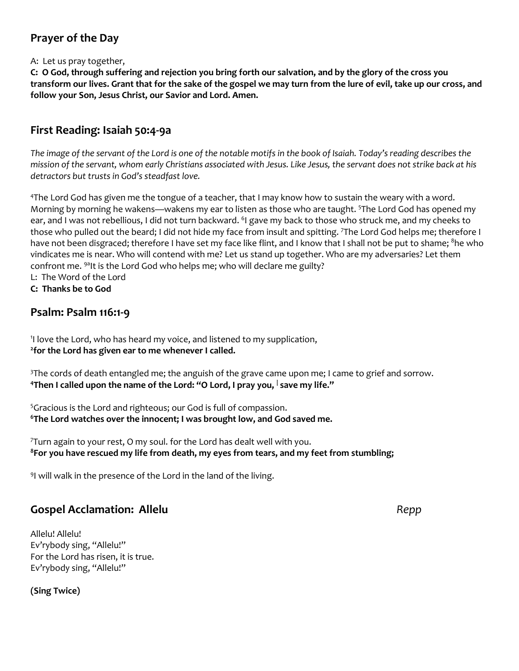## **Prayer of the Day**

A: Let us pray together,

**C: O God, through suffering and rejection you bring forth our salvation, and by the glory of the cross you transform our lives. Grant that for the sake of the gospel we may turn from the lure of evil, take up our cross, and follow your Son, Jesus Christ, our Savior and Lord. Amen.**

## **First Reading: Isaiah 50:4-9a**

*The image of the servant of the Lord is one of the notable motifs in the book of Isaiah. Today's reading describes the mission of the servant, whom early Christians associated with Jesus. Like Jesus, the servant does not strike back at his detractors but trusts in God's steadfast love.*

<sup>4</sup>The Lord God has given me the tongue of a teacher, that I may know how to sustain the weary with a word. Morning by morning he wakens—wakens my ear to listen as those who are taught. <sup>5</sup>The Lord God has opened my ear, and I was not rebellious, I did not turn backward. <sup>6</sup>I gave my back to those who struck me, and my cheeks to those who pulled out the beard; I did not hide my face from insult and spitting. <sup>7</sup>The Lord God helps me; therefore I have not been disgraced; therefore I have set my face like flint, and I know that I shall not be put to shame; <sup>8</sup>he who vindicates me is near. Who will contend with me? Let us stand up together. Who are my adversaries? Let them confront me. <sup>9a</sup>It is the Lord God who helps me; who will declare me guilty?

L: The Word of the Lord

**C: Thanks be to God**

## **Psalm: Psalm 116:1-9**

1 I love the Lord, who has heard my voice, and listened to my supplication, **2 for the Lord has given ear to me whenever I called.**

<sup>3</sup>The cords of death entangled me; the anguish of the grave came upon me; I came to grief and sorrow. **<sup>4</sup>Then I called upon the name of the Lord: "O Lord, I pray you, <sup>|</sup> save my life."**

<sup>5</sup>Gracious is the Lord and righteous; our God is full of compassion. **<sup>6</sup>The Lord watches over the innocent; I was brought low, and God saved me.**

<sup>7</sup>Turn again to your rest, O my soul. for the Lord has dealt well with you. **<sup>8</sup>For you have rescued my life from death, my eyes from tears, and my feet from stumbling;**

9 I will walk in the presence of the Lord in the land of the living.

## **Gospel Acclamation: Allelu** *Repp*

Allelu! Allelu! Ev'rybody sing, "Allelu!" For the Lord has risen, it is true. Ev'rybody sing, "Allelu!"

**(Sing Twice)**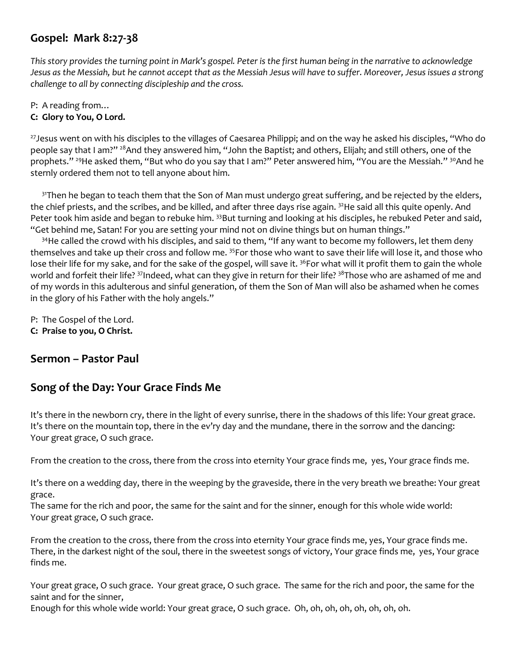## **Gospel: Mark 8:27-38**

*This story provides the turning point in Mark's gospel. Peter is the first human being in the narrative to acknowledge Jesus as the Messiah, but he cannot accept that as the Messiah Jesus will have to suffer. Moreover, Jesus issues a strong challenge to all by connecting discipleship and the cross.*

#### P: A reading from… **C: Glory to You, O Lord.**

<sup>27</sup> Jesus went on with his disciples to the villages of Caesarea Philippi; and on the way he asked his disciples, "Who do people say that I am?" <sup>28</sup>And they answered him, "John the Baptist; and others, Elijah; and still others, one of the prophets." <sup>29</sup>He asked them, "But who do you say that I am?" Peter answered him, "You are the Messiah." <sup>30</sup>And he sternly ordered them not to tell anyone about him.

<sup>31</sup>Then he began to teach them that the Son of Man must undergo great suffering, and be rejected by the elders, the chief priests, and the scribes, and be killed, and after three days rise again. <sup>32</sup>He said all this quite openly. And Peter took him aside and began to rebuke him. <sup>33</sup>But turning and looking at his disciples, he rebuked Peter and said, "Get behind me, Satan! For you are setting your mind not on divine things but on human things."

<sup>34</sup>He called the crowd with his disciples, and said to them, "If any want to become my followers, let them deny themselves and take up their cross and follow me. <sup>35</sup>For those who want to save their life will lose it, and those who lose their life for my sake, and for the sake of the gospel, will save it.  $36$  For what will it profit them to gain the whole world and forfeit their life? <sup>37</sup>Indeed, what can they give in return for their life? <sup>38</sup>Those who are ashamed of me and of my words in this adulterous and sinful generation, of them the Son of Man will also be ashamed when he comes in the glory of his Father with the holy angels."

P: The Gospel of the Lord. **C: Praise to you, O Christ.**

## **Sermon – Pastor Paul**

## **Song of the Day: Your Grace Finds Me**

It's there in the newborn cry, there in the light of every sunrise, there in the shadows of this life: Your great grace. It's there on the mountain top, there in the ev'ry day and the mundane, there in the sorrow and the dancing: Your great grace, O such grace.

From the creation to the cross, there from the cross into eternity Your grace finds me, yes, Your grace finds me.

It's there on a wedding day, there in the weeping by the graveside, there in the very breath we breathe: Your great grace.

The same for the rich and poor, the same for the saint and for the sinner, enough for this whole wide world: Your great grace, O such grace.

From the creation to the cross, there from the cross into eternity Your grace finds me, yes, Your grace finds me. There, in the darkest night of the soul, there in the sweetest songs of victory, Your grace finds me, yes, Your grace finds me.

Your great grace, O such grace. Your great grace, O such grace. The same for the rich and poor, the same for the saint and for the sinner,

Enough for this whole wide world: Your great grace, O such grace. Oh, oh, oh, oh, oh, oh, oh, oh.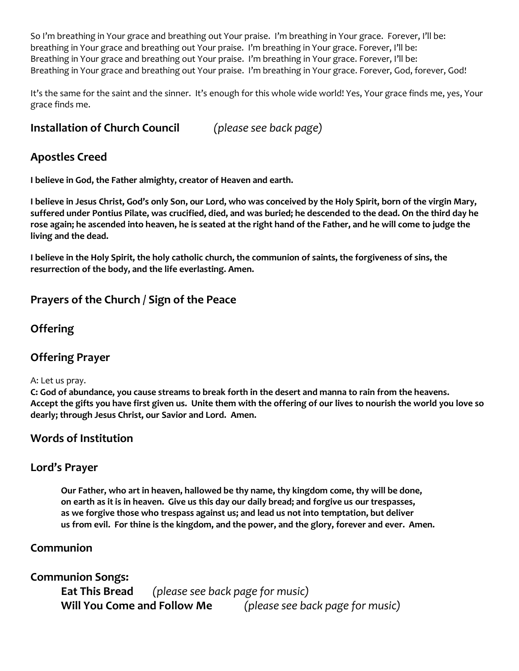So I'm breathing in Your grace and breathing out Your praise. I'm breathing in Your grace. Forever, I'll be: breathing in Your grace and breathing out Your praise. I'm breathing in Your grace. Forever, I'll be: Breathing in Your grace and breathing out Your praise. I'm breathing in Your grace. Forever, I'll be: Breathing in Your grace and breathing out Your praise. I'm breathing in Your grace. Forever, God, forever, God!

It's the same for the saint and the sinner. It's enough for this whole wide world! Yes, Your grace finds me, yes, Your grace finds me.

**Installation of Church Council** *(please see back page)*

## **Apostles Creed**

**I believe in God, the Father almighty, creator of Heaven and earth.** 

**I believe in Jesus Christ, God's only Son, our Lord, who was conceived by the Holy Spirit, born of the virgin Mary, suffered under Pontius Pilate, was crucified, died, and was buried; he descended to the dead. On the third day he rose again; he ascended into heaven, he is seated at the right hand of the Father, and he will come to judge the living and the dead.**

**I believe in the Holy Spirit, the holy catholic church, the communion of saints, the forgiveness of sins, the resurrection of the body, and the life everlasting. Amen.**

## **Prayers of the Church / Sign of the Peace**

## **Offering**

## **Offering Prayer**

#### A: Let us pray.

**C: God of abundance, you cause streams to break forth in the desert and manna to rain from the heavens. Accept the gifts you have first given us. Unite them with the offering of our lives to nourish the world you love so dearly; through Jesus Christ, our Savior and Lord. Amen.**

## **Words of Institution**

#### **Lord's Prayer**

**Our Father, who art in heaven, hallowed be thy name, thy kingdom come, thy will be done, on earth as it is in heaven. Give us this day our daily bread; and forgive us our trespasses, as we forgive those who trespass against us; and lead us not into temptation, but deliver us from evil. For thine is the kingdom, and the power, and the glory, forever and ever. Amen.**

#### **Communion**

#### **Communion Songs:**

**Eat This Bread** *(please see back page for music)* **Will You Come and Follow Me** *(please see back page for music)*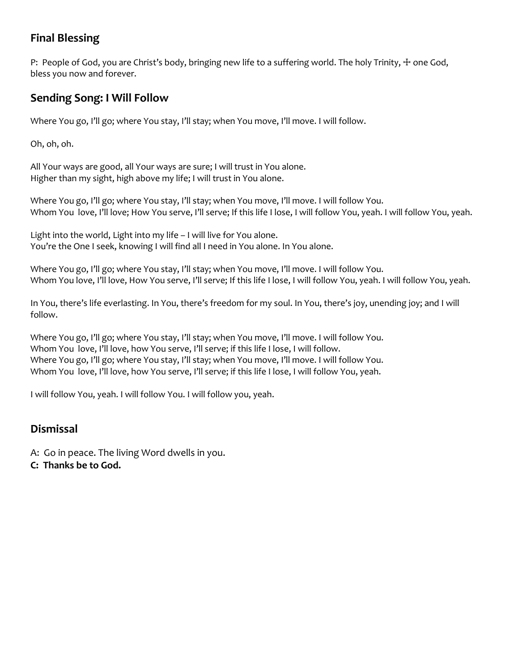## **Final Blessing**

P: People of God, you are Christ's body, bringing new life to a suffering world. The holy Trinity,  $\pm$  one God, bless you now and forever.

## **Sending Song: I Will Follow**

Where You go, I'll go; where You stay, I'll stay; when You move, I'll move. I will follow.

Oh, oh, oh.

All Your ways are good, all Your ways are sure; I will trust in You alone. Higher than my sight, high above my life; I will trust in You alone.

Where You go, I'll go; where You stay, I'll stay; when You move, I'll move. I will follow You. Whom You love, I'll love; How You serve, I'll serve; If this life I lose, I will follow You, yeah. I will follow You, yeah.

Light into the world, Light into my life – I will live for You alone. You're the One I seek, knowing I will find all I need in You alone. In You alone.

Where You go, I'll go; where You stay, I'll stay; when You move, I'll move. I will follow You. Whom You love, I'll love, How You serve, I'll serve; If this life I lose, I will follow You, yeah. I will follow You, yeah.

In You, there's life everlasting. In You, there's freedom for my soul. In You, there's joy, unending joy; and I will follow.

Where You go, I'll go; where You stay, I'll stay; when You move, I'll move. I will follow You. Whom You love, I'll love, how You serve, I'll serve; if this life I lose, I will follow. Where You go, I'll go; where You stay, I'll stay; when You move, I'll move. I will follow You. Whom You love, I'll love, how You serve, I'll serve; if this life I lose, I will follow You, yeah.

I will follow You, yeah. I will follow You. I will follow you, yeah.

## **Dismissal**

A: Go in peace. The living Word dwells in you. **C: Thanks be to God.**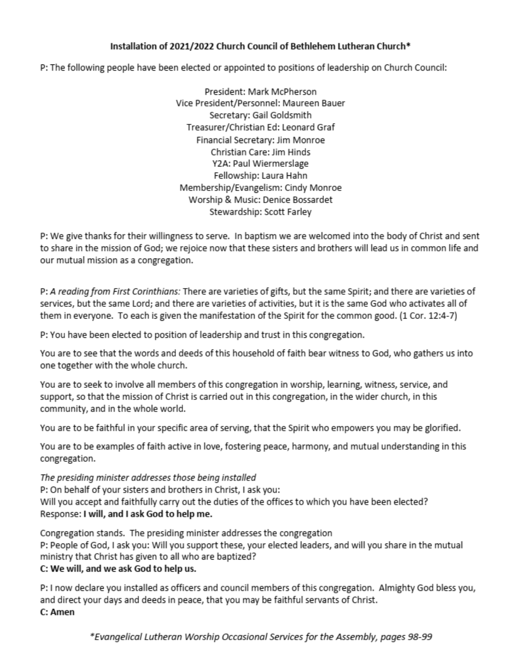#### Installation of 2021/2022 Church Council of Bethlehem Lutheran Church\*

P: The following people have been elected or appointed to positions of leadership on Church Council:

President: Mark McPherson Vice President/Personnel: Maureen Bauer Secretary: Gail Goldsmith Treasurer/Christian Ed: Leonard Graf Financial Secretary: Jim Monroe Christian Care: Jim Hinds Y2A: Paul Wiermerslage Fellowship: Laura Hahn Membership/Evangelism: Cindy Monroe Worship & Music: Denice Bossardet Stewardship: Scott Farley

P: We give thanks for their willingness to serve. In baptism we are welcomed into the body of Christ and sent to share in the mission of God; we rejoice now that these sisters and brothers will lead us in common life and our mutual mission as a congregation.

P: A reading from First Corinthians: There are varieties of gifts, but the same Spirit; and there are varieties of services, but the same Lord; and there are varieties of activities, but it is the same God who activates all of them in everyone. To each is given the manifestation of the Spirit for the common good. (1 Cor. 12:4-7)

P: You have been elected to position of leadership and trust in this congregation.

You are to see that the words and deeds of this household of faith bear witness to God, who gathers us into one together with the whole church.

You are to seek to involve all members of this congregation in worship, learning, witness, service, and support, so that the mission of Christ is carried out in this congregation, in the wider church, in this community, and in the whole world.

You are to be faithful in your specific area of serving, that the Spirit who empowers you may be glorified.

You are to be examples of faith active in love, fostering peace, harmony, and mutual understanding in this congregation.

The presiding minister addresses those being installed P: On behalf of your sisters and brothers in Christ, I ask you: Will you accept and faithfully carry out the duties of the offices to which you have been elected? Response: I will, and I ask God to help me.

Congregation stands. The presiding minister addresses the congregation P: People of God, I ask you: Will you support these, your elected leaders, and will you share in the mutual ministry that Christ has given to all who are baptized? C: We will, and we ask God to help us.

P: I now declare you installed as officers and council members of this congregation. Almighty God bless you, and direct your days and deeds in peace, that you may be faithful servants of Christ. C: Amen

\*Evangelical Lutheran Worship Occasional Services for the Assembly, pages 98-99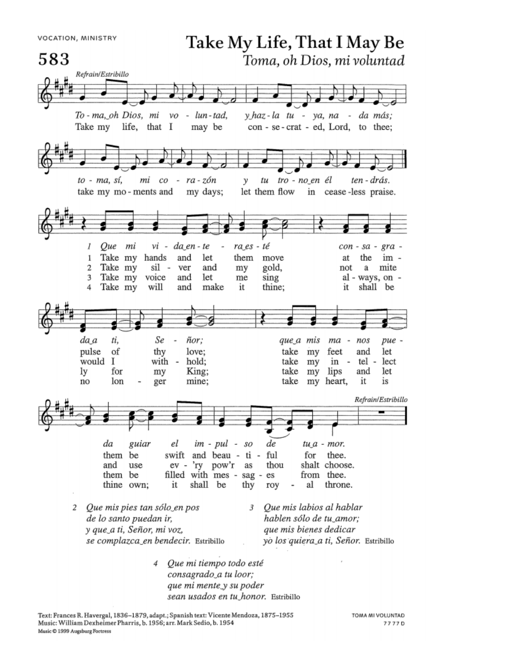VOCATION, MINISTRY



Music @ 1999 Augsburg Fortress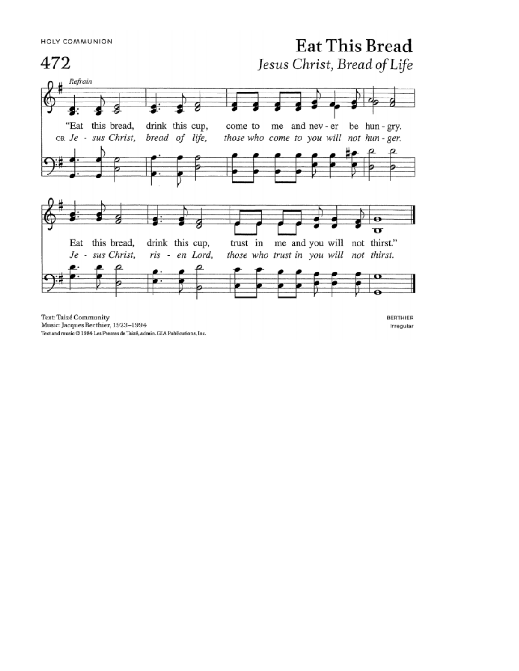HOLY COMMUNION



Music: Jacques Berthier, 1923-1994 Text and music © 1984 Les Presses de Taizé, admin. GIA Publications, Inc. Irregular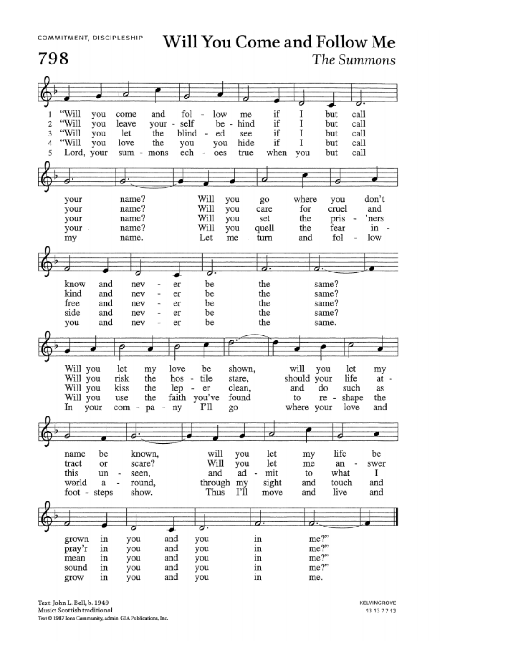798

## Will You Come and Follow Me The Summons



Text: John L. Bell, b. 1949 Music: Scottish traditional

Text @ 1987 Iona Community, admin. GIA Publications, Inc.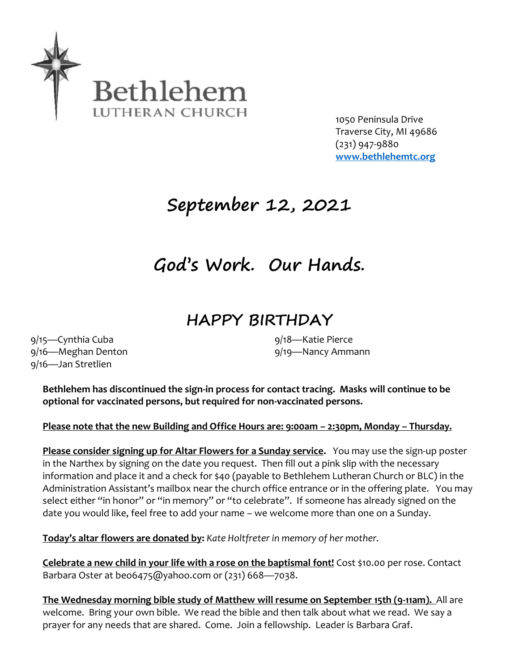

1050 Peninsula Drive Traverse City, MI 49686 (231) 947-9880 **[www.bethlehemtc.org](http://www.bethlehemtc.org/)**

# **September 12, 2021**

# **God's Work. Our Hands.**

## **HAPPY BIRTHDAY**

9/15—Cynthia Cuba 9/16—Meghan Denton 9/16—Jan Stretlien

9/18—Katie Pierce 9/19—Nancy Ammann

**Bethlehem has discontinued the sign-in process for contact tracing. Masks will continue to be optional for vaccinated persons, but required for non-vaccinated persons.**

#### **Please note that the new Building and Office Hours are: 9:00am – 2:30pm, Monday – Thursday.**

**Please consider signing up for Altar Flowers for a Sunday service.** You may use the sign-up poster in the Narthex by signing on the date you request. Then fill out a pink slip with the necessary information and place it and a check for \$40 (payable to Bethlehem Lutheran Church or BLC) in the Administration Assistant's mailbox near the church office entrance or in the offering plate. You may select either "in honor" or "in memory" or "to celebrate". If someone has already signed on the date you would like, feel free to add your name – we welcome more than one on a Sunday.

**Today's altar flowers are donated by:** *Kate Holtfreter in memory of her mother.*

**Celebrate a new child in your life with a rose on the baptismal font!** Cost \$10.00 per rose. Contact Barbara Oster at beo6475@yahoo.com or (231) 668—7038.

**The Wednesday morning bible study of Matthew will resume on September 15th (9-11am).** All are welcome. Bring your own bible. We read the bible and then talk about what we read. We say a prayer for any needs that are shared. Come. Join a fellowship. Leader is Barbara Graf.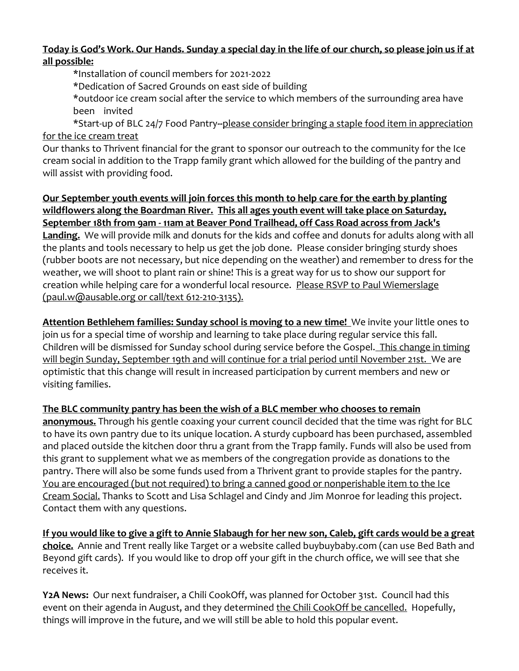#### **Today is God's Work. Our Hands. Sunday a special day in the life of our church, so please join us if at all possible:**

\*Installation of council members for 2021-2022

\*Dedication of Sacred Grounds on east side of building

\*outdoor ice cream social after the service to which members of the surrounding area have been invited

\*Start-up of BLC 24/7 Food Pantry**--**please consider bringing a staple food item in appreciation for the ice cream treat

Our thanks to Thrivent financial for the grant to sponsor our outreach to the community for the Ice cream social in addition to the Trapp family grant which allowed for the building of the pantry and will assist with providing food.

**Our September youth events will join forces this month to help care for the earth by planting wildflowers along the Boardman River. This all ages youth event will take place on Saturday, September 18th from 9am - 11am at Beaver Pond Trailhead, off Cass Road across from Jack's Landing.** We will provide milk and donuts for the kids and coffee and donuts for adults along with all the plants and tools necessary to help us get the job done. Please consider bringing sturdy shoes (rubber boots are not necessary, but nice depending on the weather) and remember to dress for the weather, we will shoot to plant rain or shine! This is a great way for us to show our support for creation while helping care for a wonderful local resource. Please RSVP to Paul Wiemerslage (paul.w@ausable.org or call/text 612-210-3135).

**Attention Bethlehem families: Sunday school is moving to a new time!** We invite your little ones to join us for a special time of worship and learning to take place during regular service this fall. Children will be dismissed for Sunday school during service before the Gospel. This change in timing will begin Sunday, September 19th and will continue for a trial period until November 21st. We are optimistic that this change will result in increased participation by current members and new or visiting families.

**The BLC community pantry has been the wish of a BLC member who chooses to remain** 

**anonymous.** Through his gentle coaxing your current council decided that the time was right for BLC to have its own pantry due to its unique location. A sturdy cupboard has been purchased, assembled and placed outside the kitchen door thru a grant from the Trapp family. Funds will also be used from this grant to supplement what we as members of the congregation provide as donations to the pantry. There will also be some funds used from a Thrivent grant to provide staples for the pantry. You are encouraged (but not required) to bring a canned good or nonperishable item to the Ice Cream Social. Thanks to Scott and Lisa Schlagel and Cindy and Jim Monroe for leading this project. Contact them with any questions.

**If you would like to give a gift to Annie Slabaugh for her new son, Caleb, gift cards would be a great choice.** Annie and Trent really like Target or a website called buybuybaby.com (can use Bed Bath and Beyond gift cards). If you would like to drop off your gift in the church office, we will see that she receives it.

**Y2A News:** Our next fundraiser, a Chili CookOff, was planned for October 31st. Council had this event on their agenda in August, and they determined the Chili CookOff be cancelled. Hopefully, things will improve in the future, and we will still be able to hold this popular event.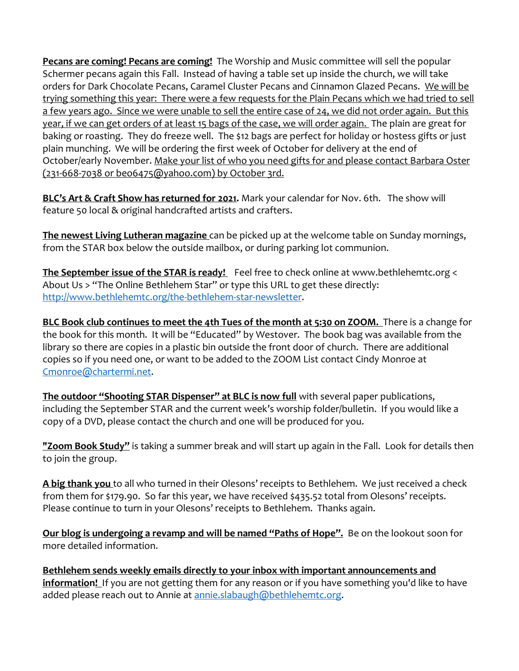**Pecans are coming! Pecans are coming!** The Worship and Music committee will sell the popular Schermer pecans again this Fall. Instead of having a table set up inside the church, we will take orders for Dark Chocolate Pecans, Caramel Cluster Pecans and Cinnamon Glazed Pecans. We will be trying something this year: There were a few requests for the Plain Pecans which we had tried to sell a few years ago. Since we were unable to sell the entire case of 24, we did not order again. But this year, if we can get orders of at least 15 bags of the case, we will order again. The plain are great for baking or roasting. They do freeze well. The \$12 bags are perfect for holiday or hostess gifts or just plain munching. We will be ordering the first week of October for delivery at the end of October/early November. Make your list of who you need gifts for and please contact Barbara Oster (231-668-7038 or beo6475@yahoo.com) by October 3rd.

**BLC's Art & Craft Show has returned for 2021.** Mark your calendar for Nov. 6th. The show will feature 50 local & original handcrafted artists and crafters.

**The newest Living Lutheran magazine** can be picked up at the welcome table on Sunday mornings, from the STAR box below the outside mailbox, or during parking lot communion.

**The September issue of the STAR is ready!** Feel free to check online at www.bethlehemtc.org < About Us > "The Online Bethlehem Star" or type this URL to get these directly: [http://www.bethlehemtc.org/the-bethlehem-star-newsletter.](http://www.bethlehemtc.org/the-bethlehem-star-newsletter)

**BLC Book club continues to meet the 4th Tues of the month at 5:30 on ZOOM.** There is a change for the book for this month. It will be "Educated" by Westover. The book bag was available from the library so there are copies in a plastic bin outside the front door of church. There are additional copies so if you need one, or want to be added to the ZOOM List contact Cindy Monroe at [Cmonroe@chartermi.net.](mailto:Cmonroe@chartermi.net)

**The outdoor "Shooting STAR Dispenser" at BLC is now full** with several paper publications, including the September STAR and the current week's worship folder/bulletin. If you would like a copy of a DVD, please contact the church and one will be produced for you.

**"Zoom Book Study"** is taking a summer break and will start up again in the Fall. Look for details then to join the group.

**A big thank you** to all who turned in their Olesons' receipts to Bethlehem. We just received a check from them for \$179.90. So far this year, we have received \$435.52 total from Olesons' receipts. Please continue to turn in your Olesons' receipts to Bethlehem. Thanks again.

**Our blog is undergoing a revamp and will be named "Paths of Hope".** Be on the lookout soon for more detailed information.

**Bethlehem sends weekly emails directly to your inbox with important announcements and information!** If you are not getting them for any reason or if you have something you'd like to have added please reach out to Annie at [annie.slabaugh@bethlehemtc.org.](mailto:annie.slabaugh@bethlehemtc.org)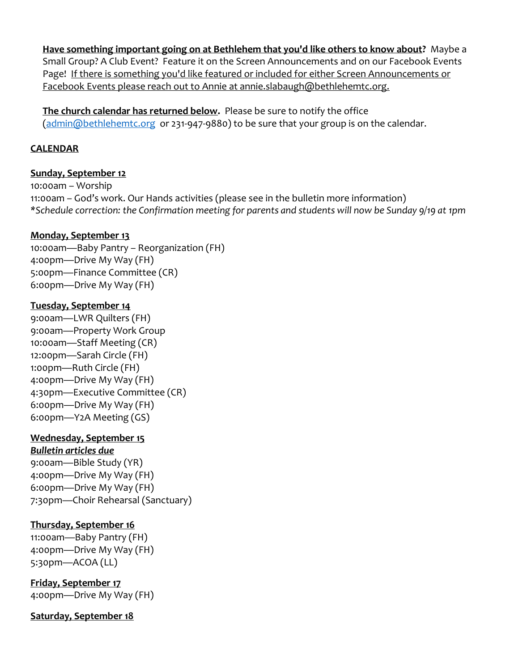**Have something important going on at Bethlehem that you'd like others to know about?** Maybe a Small Group? A Club Event? Feature it on the Screen Announcements and on our Facebook Events Page! If there is something you'd like featured or included for either Screen Announcements or Facebook Events please reach out to Annie at annie.slabaugh@bethlehemtc.org.

**The church calendar has returned below.** Please be sure to notify the office [\(admin@bethlehemtc.org](mailto:admin@bethlehemtc.org) or 231-947-9880) to be sure that your group is on the calendar.

#### **CALENDAR**

#### **Sunday, September 12**

10:00am – Worship 11:00am – God's work. Our Hands activities (please see in the bulletin more information) *\*Schedule correction: the Confirmation meeting for parents and students will now be Sunday 9/19 at 1pm*

#### **Monday, September 13**

10:00am—Baby Pantry – Reorganization (FH) 4:00pm—Drive My Way (FH) 5:00pm—Finance Committee (CR) 6:00pm—Drive My Way (FH)

#### **Tuesday, September 14**

9:00am—LWR Quilters (FH) 9:00am—Property Work Group 10:00am—Staff Meeting (CR) 12:00pm—Sarah Circle (FH) 1:00pm—Ruth Circle (FH) 4:00pm—Drive My Way (FH) 4:30pm—Executive Committee (CR) 6:00pm—Drive My Way (FH) 6:00pm—Y2A Meeting (GS)

#### **Wednesday, September 15**

#### *Bulletin articles due*

9:00am—Bible Study (YR) 4:00pm—Drive My Way (FH) 6:00pm—Drive My Way (FH) 7:30pm—Choir Rehearsal (Sanctuary)

#### **Thursday, September 16**

11:00am—Baby Pantry (FH) 4:00pm—Drive My Way (FH) 5:30pm—ACOA (LL)

**Friday, September 17** 4:00pm—Drive My Way (FH)

**Saturday, September 18**